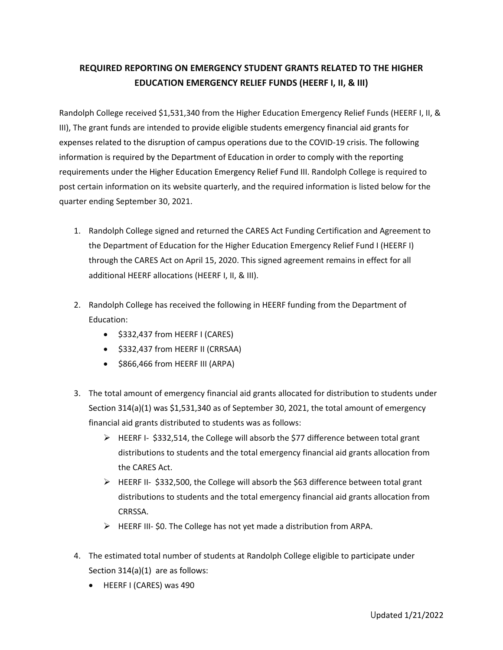## **REQUIRED REPORTING ON EMERGENCY STUDENT GRANTS RELATED TO THE HIGHER EDUCATION EMERGENCY RELIEF FUNDS (HEERF I, II, & III)**

Randolph College received \$1,531,340 from the Higher Education Emergency Relief Funds (HEERF I, II, & III), The grant funds are intended to provide eligible students emergency financial aid grants for expenses related to the disruption of campus operations due to the COVID-19 crisis. The following information is required by the Department of Education in order to comply with the reporting requirements under the Higher Education Emergency Relief Fund III. Randolph College is required to post certain information on its website quarterly, and the required information is listed below for the quarter ending September 30, 2021.

- 1. Randolph College signed and returned the CARES Act Funding Certification and Agreement to the Department of Education for the Higher Education Emergency Relief Fund I (HEERF I) through the CARES Act on April 15, 2020. This signed agreement remains in effect for all additional HEERF allocations (HEERF I, II, & III).
- 2. Randolph College has received the following in HEERF funding from the Department of Education:
	- \$332,437 from HEERF I (CARES)
	- \$332,437 from HEERF II (CRRSAA)
	- \$866,466 from HEERF III (ARPA)
- 3. The total amount of emergency financial aid grants allocated for distribution to students under Section 314(a)(1) was \$1,531,340 as of September 30, 2021, the total amount of emergency financial aid grants distributed to students was as follows:
	- $\triangleright$  HEERF I- \$332,514, the College will absorb the \$77 difference between total grant distributions to students and the total emergency financial aid grants allocation from the CARES Act.
	- $\triangleright$  HEERF II- \$332,500, the College will absorb the \$63 difference between total grant distributions to students and the total emergency financial aid grants allocation from CRRSSA.
	- $\triangleright$  HEERF III- \$0. The College has not yet made a distribution from ARPA.
- 4. The estimated total number of students at Randolph College eligible to participate under Section 314(a)(1) are as follows:
	- HEERF I (CARES) was 490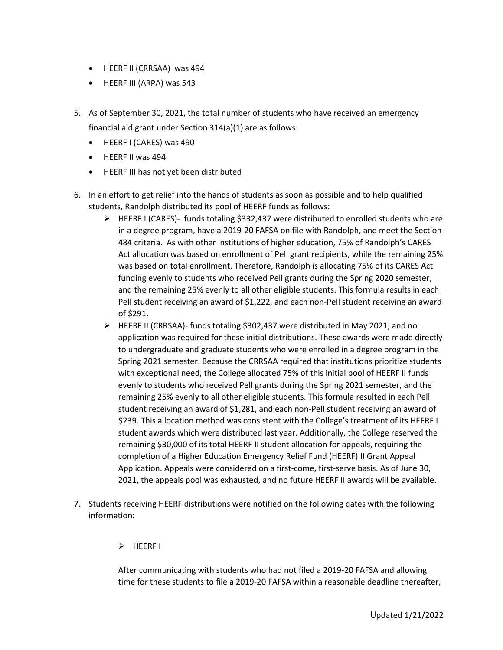- HEERF II (CRRSAA) was 494
- HEERF III (ARPA) was 543
- 5. As of September 30, 2021, the total number of students who have received an emergency financial aid grant under Section 314(a)(1) are as follows:
	- HEERF I (CARES) was 490
	- HEERF II was 494
	- HEERF III has not yet been distributed
- 6. In an effort to get relief into the hands of students as soon as possible and to help qualified students, Randolph distributed its pool of HEERF funds as follows:
	- $\triangleright$  HEERF I (CARES)- funds totaling \$332,437 were distributed to enrolled students who are in a degree program, have a 2019-20 FAFSA on file with Randolph, and meet the Section 484 criteria. As with other institutions of higher education, 75% of Randolph's CARES Act allocation was based on enrollment of Pell grant recipients, while the remaining 25% was based on total enrollment. Therefore, Randolph is allocating 75% of its CARES Act funding evenly to students who received Pell grants during the Spring 2020 semester, and the remaining 25% evenly to all other eligible students. This formula results in each Pell student receiving an award of \$1,222, and each non-Pell student receiving an award of \$291.
	- $\triangleright$  HEERF II (CRRSAA)- funds totaling \$302,437 were distributed in May 2021, and no application was required for these initial distributions. These awards were made directly to undergraduate and graduate students who were enrolled in a degree program in the Spring 2021 semester. Because the CRRSAA required that institutions prioritize students with exceptional need, the College allocated 75% of this initial pool of HEERF II funds evenly to students who received Pell grants during the Spring 2021 semester, and the remaining 25% evenly to all other eligible students. This formula resulted in each Pell student receiving an award of \$1,281, and each non-Pell student receiving an award of \$239. This allocation method was consistent with the College's treatment of its HEERF I student awards which were distributed last year. Additionally, the College reserved the remaining \$30,000 of its total HEERF II student allocation for appeals, requiring the completion of a Higher Education Emergency Relief Fund (HEERF) II Grant Appeal Application. Appeals were considered on a first-come, first-serve basis. As of June 30, 2021, the appeals pool was exhausted, and no future HEERF II awards will be available.
- 7. Students receiving HEERF distributions were notified on the following dates with the following information:

## $\triangleright$  HEERF I

After communicating with students who had not filed a 2019-20 FAFSA and allowing time for these students to file a 2019-20 FAFSA within a reasonable deadline thereafter,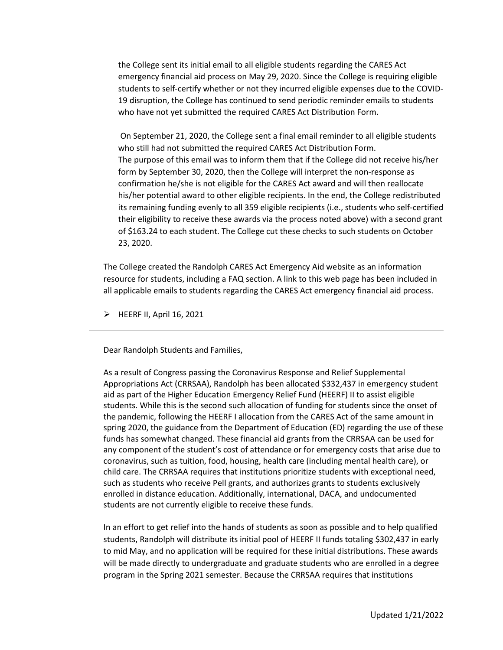the College sent its initial email to all eligible students regarding the CARES Act emergency financial aid process on May 29, 2020. Since the College is requiring eligible students to self-certify whether or not they incurred eligible expenses due to the COVID-19 disruption, the College has continued to send periodic reminder emails to students who have not yet submitted the required CARES Act Distribution Form.

On September 21, 2020, the College sent a final email reminder to all eligible students who still had not submitted the required CARES Act Distribution Form. The purpose of this email was to inform them that if the College did not receive his/her form by September 30, 2020, then the College will interpret the non-response as confirmation he/she is not eligible for the CARES Act award and will then reallocate his/her potential award to other eligible recipients. In the end, the College redistributed its remaining funding evenly to all 359 eligible recipients (i.e., students who self-certified their eligibility to receive these awards via the process noted above) with a second grant of \$163.24 to each student. The College cut these checks to such students on October 23, 2020.

The College created the Randolph CARES Act Emergency Aid website as an information resource for students, including a FAQ section. A link to this web page has been included in all applicable emails to students regarding the CARES Act emergency financial aid process.

 $\triangleright$  HEERF II, April 16, 2021

Dear Randolph Students and Families,

As a result of Congress passing the Coronavirus Response and Relief Supplemental Appropriations Act (CRRSAA), Randolph has been allocated \$332,437 in emergency student aid as part of the Higher Education Emergency Relief Fund (HEERF) II to assist eligible students. While this is the second such allocation of funding for students since the onset of the pandemic, following the HEERF I allocation from the CARES Act of the same amount in spring 2020, the guidance from the Department of Education (ED) regarding the use of these funds has somewhat changed. These financial aid grants from the CRRSAA can be used for any component of the student's cost of attendance or for emergency costs that arise due to coronavirus, such as tuition, food, housing, health care (including mental health care), or child care. The CRRSAA requires that institutions prioritize students with exceptional need, such as students who receive Pell grants, and authorizes grants to students exclusively enrolled in distance education. Additionally, international, DACA, and undocumented students are not currently eligible to receive these funds.

In an effort to get relief into the hands of students as soon as possible and to help qualified students, Randolph will distribute its initial pool of HEERF II funds totaling \$302,437 in early to mid May, and no application will be required for these initial distributions. These awards will be made directly to undergraduate and graduate students who are enrolled in a degree program in the Spring 2021 semester. Because the CRRSAA requires that institutions